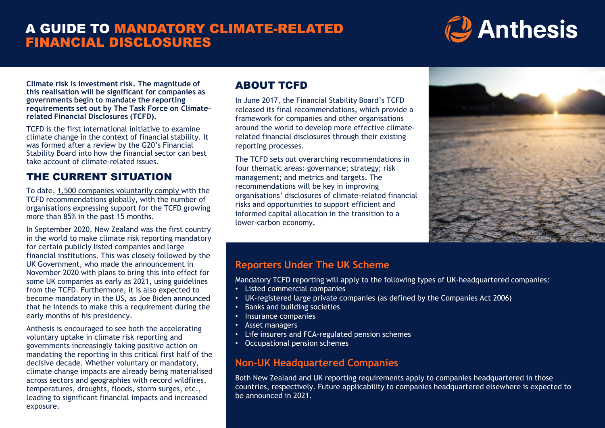# A GUIDE TO MANDATORY CLIMATE-RELATED FINANCIAL DISCLOSURES

# **C** Anthesis

**Climate risk is investment risk. The magnitude of this realisation will be significant for companies as governments begin to mandate the reporting requirements set out by The Task Force on Climaterelated Financial Disclosures (TCFD).** 

TCFD is the first international initiative to examine climate change in the context of financial stability. It was formed after a review by the G20's Financial Stability Board into how the financial sector can best take account of climate-related issues.

## THE CURRENT SITUATION

To date, [1,500 companies voluntarily comply](https://www.reuters.com/article/us-climate-change-finance-idCAKBN27E0GO) with the TCFD recommendations globally, with the number of organisations expressing support for the TCFD growing more than 85% in the past 15 months.

In September 2020, New Zealand was the first country in the world to make climate risk reporting mandatory for certain publicly listed companies and large financial institutions. This was closely followed by the UK Government, who made the announcement in November 2020 with plans to bring this into effect for some UK companies as early as 2021, using guidelines from the TCFD. Furthermore, it is also expected to become mandatory in the US, as Joe Biden announced that he intends to make this a requirement during the early months of his presidency.

Anthesis is encouraged to see both the accelerating voluntary uptake in climate risk reporting and governments increasingly taking positive action on mandating the reporting in this critical first half of the decisive decade. Whether voluntary or mandatory, climate change impacts are already being materialised across sectors and geographies with record wildfires, temperatures, droughts, floods, storm surges, etc., leading to significant financial impacts and increased exposure.

## ABOUT TCFD

rramework for companies and other organisations<br>around the world to develop more effective climaterelated financial disclosures through their existing<br>reporting processes. In June 2017, the Financial Stability Board's TCFD released its final recommendations, which provide a framework for companies and other organisations reporting processes.

The TCFD sets out overarching recommendations in four thematic areas: governance; strategy; risk management; and metrics and targets. The recommendations will be key in improving organisations' disclosures of climate-related financial risks and opportunities to support efficient and informed capital allocation in the transition to a lower-carbon economy.



## **Reporters Under The UK Scheme**

Mandatory TCFD reporting will apply to the following types of UK-headquartered companies:

- Listed commercial companies
- UK-registered large private companies (as defined by the Companies Act 2006)
- Banks and building societies
- Insurance companies
- Asset managers
- Life insurers and FCA-regulated pension schemes
- Occupational pension schemes

## **Non-UK Headquartered Companies**

Both New Zealand and UK reporting requirements apply to companies headquartered in those countries, respectively. Future applicability to companies headquartered elsewhere is expected to be announced in 2021.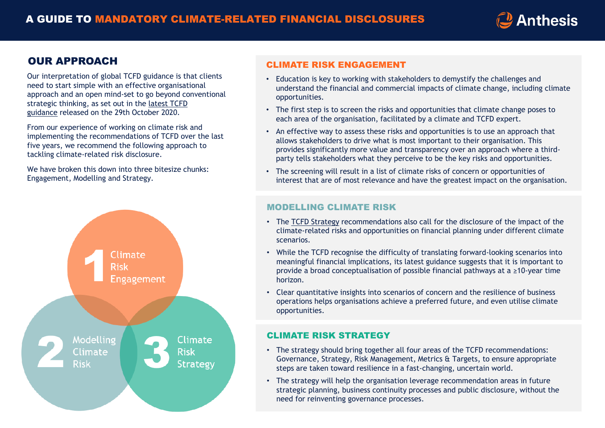

## OUR APPROACH

Our interpretation of global TCFD guidance is that clients need to start simple with an effective organisational approach and an open mind-set to go beyond conventional strategic thinking, as set out in the latest TCFD guidance [released on the 29th October 2020.](https://www.fsb-tcfd.org/publications/)

From our experience of working on climate risk and implementing the recommendations of TCFD over the last five years, we recommend the following approach to tackling climate-related risk disclosure.

We have broken this down into three bitesize chunks: Engagement, Modelling and Strategy.



#### CLIMATE RISK ENGAGEMENT

- Education is key to working with stakeholders to demystify the challenges and understand the financial and commercial impacts of climate change, including climate opportunities.
- The first step is to screen the risks and opportunities that climate change poses to each area of the organisation, facilitated by a climate and TCFD expert.
- An effective way to assess these risks and opportunities is to use an approach that allows stakeholders to drive what is most important to their organisation. This provides significantly more value and transparency over an approach where a thirdparty tells stakeholders what they perceive to be the key risks and opportunities.
- The screening will result in a list of climate risks of concern or opportunities of interest that are of most relevance and have the greatest impact on the organisation.

#### MODELLING CLIMATE RISK

- The [TCFD Strategy](https://www.tcfdhub.org/strategy/) recommendations also call for the disclosure of the impact of the climate-related risks and opportunities on financial planning under different climate scenarios.
- While the TCFD recognise the difficulty of translating forward-looking scenarios into meaningful financial implications, its latest guidance suggests that it is important to provide a broad conceptualisation of possible financial pathways at a ≥10-year time horizon.
- Clear quantitative insights into scenarios of concern and the resilience of business operations helps organisations achieve a preferred future, and even utilise climate opportunities.

#### CLIMATE RISK STRATEGY

- The strategy should bring together all four areas of the TCFD recommendations: Governance, Strategy, Risk Management, Metrics & Targets, to ensure appropriate steps are taken toward resilience in a fast-changing, uncertain world.
- The strategy will help the organisation leverage recommendation areas in future strategic planning, business continuity processes and public disclosure, without the need for reinventing governance processes.